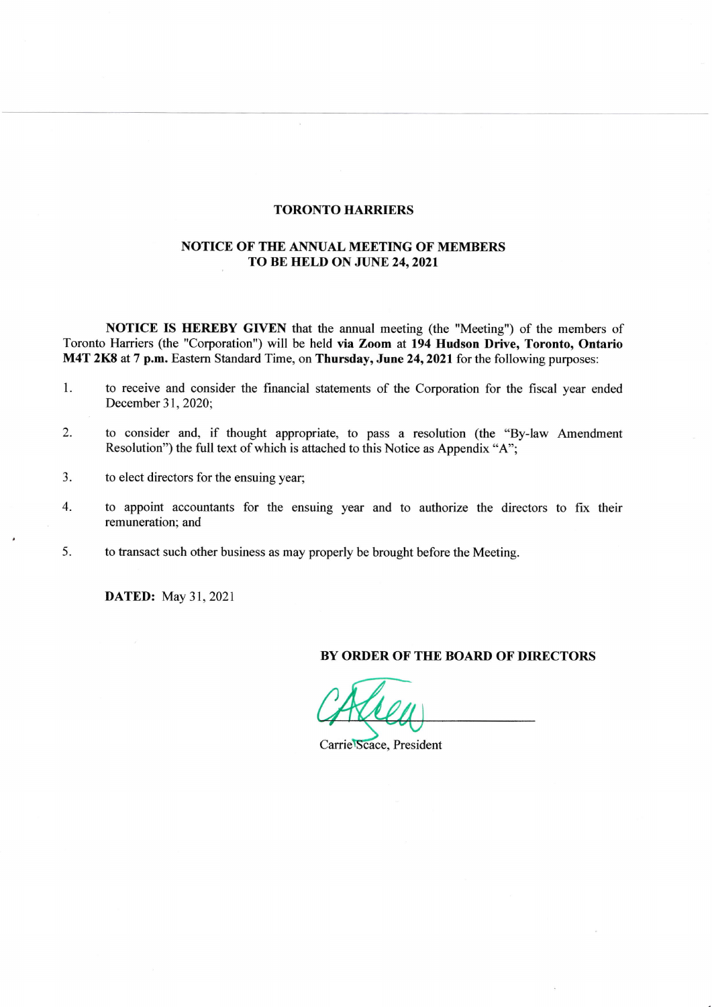## TORONTO HARRIERS

 $\tilde{\mathbf{x}}$ 

## NOTICE OF THE ANNUAL MEETING OF MEMBERS TO BE HELD ON JUNE 24, 2021

NOTICE IS HEREBY GIVEN that the annual meeting (the "Meeting") of the members of Toronto Harriers (the "Corporation") will be held via Zoom at 194 Hudson Drive, Toronto, Ontario M4T 2K8 at 7 p.m. Eastern Standard Time, on Thursday, June 24, 2021 for the following purposes:

- 1. to receive and consider the financial statements of the Corporation for the fiscal year ended December 31,2020;
- 2- to consider and, if thought appropriate, to pass a resolution (the "By-law Amendment Resolution") the full text of which is attached to this Notice as Appendix "A";
- 3. to elect directors for the ensuing year;
- 4. to appoint accountants for the ensuing year and to authorize the directors to fix their remuneration; and
- 5. to transact such other business as may properly be brought before the Meeting.

**DATED:** May 31, 2021

### BY ORDER OF THE BOARD OF DIRECTORS

Carrie Scace, President